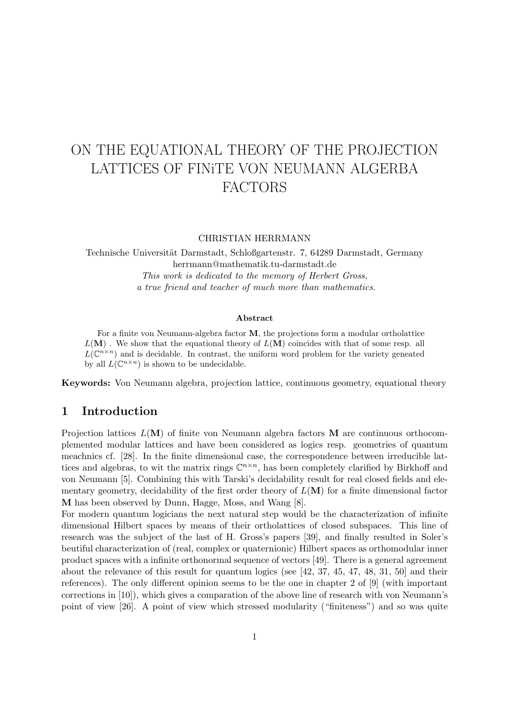# ON THE EQUATIONAL THEORY OF THE PROJECTION LATTICES OF FINiTE VON NEUMANN ALGERBA FACTORS

#### CHRISTIAN HERRMANN

Technische Universität Darmstadt, Schloßgartenstr. 7, 64289 Darmstadt, Germany herrmann@mathematik.tu-darmstadt.de This work is dedicated to the memory of Herbert Gross, a true friend and teacher of much more than mathematics.

#### Abstract

For a finite von Neumann-algebra factor M, the projections form a modular ortholattice  $L(M)$ . We show that the equational theory of  $L(M)$  coincides with that of some resp. all  $L(\mathbb{C}^{n\times n})$  and is decidable. In contrast, the uniform word problem for the variety geneated by all  $L(\mathbb{C}^{n\times n})$  is shown to be undecidable.

Keywords: Von Neumann algebra, projection lattice, continuous geometry, equational theory

### 1 Introduction

Projection lattices  $L(M)$  of finite von Neumann algebra factors M are continuous orthocomplemented modular lattices and have been considered as logics resp. geometries of quantum meachnics cf. [28]. In the finite dimensional case, the correspondence between irreducible lattices and algebras, to wit the matrix rings  $\mathbb{C}^{n \times n}$ , has been completely clarified by Birkhoff and von Neumann [5]. Combining this with Tarski's decidability result for real closed fields and elementary geometry, decidability of the first order theory of  $L(\mathbf{M})$  for a finite dimensional factor M has been observed by Dunn, Hagge, Moss, and Wang [8].

For modern quantum logicians the next natural step would be the characterization of infinite dimensional Hilbert spaces by means of their ortholattices of closed subspaces. This line of research was the subject of the last of H. Gross's papers [39], and finally resulted in Soler's beutiful characterization of (real, complex or quaternionic) Hilbert spaces as orthomodular inner product spaces with a infinite orthonormal sequence of vectors [49]. There is a general agreement about the relevance of this result for quantum logics (see [42, 37, 45, 47, 48, 31, 50] and their references). The only different opinion seems to be the one in chapter 2 of [9] (with important corrections in [10]), which gives a comparation of the above line of research with von Neumann's point of view [26]. A point of view which stressed modularity ("finiteness") and so was quite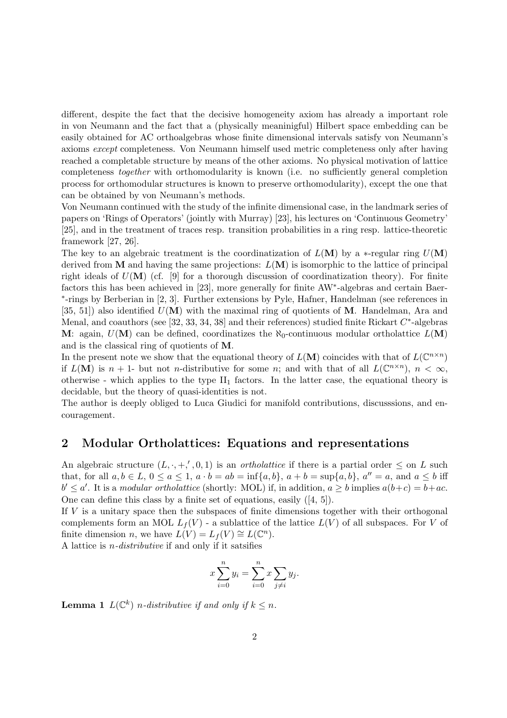different, despite the fact that the decisive homogeneity axiom has already a important role in von Neumann and the fact that a (physically meaninigful) Hilbert space embedding can be easily obtained for AC orthoalgebras whose finite dimensional intervals satisfy von Neumann's axioms except completeness. Von Neumann himself used metric completeness only after having reached a completable structure by means of the other axioms. No physical motivation of lattice completeness together with orthomodularity is known (i.e. no sufficiently general completion process for orthomodular structures is known to preserve orthomodularity), except the one that can be obtained by von Neumann's methods.

Von Neumann continued with the study of the infinite dimensional case, in the landmark series of papers on 'Rings of Operators' (jointly with Murray) [23], his lectures on 'Continuous Geometry' [25], and in the treatment of traces resp. transition probabilities in a ring resp. lattice-theoretic framework [27, 26].

The key to an algebraic treatment is the coordinatization of  $L(\mathbf{M})$  by a  $*$ -regular ring  $U(\mathbf{M})$ derived from  $M$  and having the same projections:  $L(M)$  is isomorphic to the lattice of principal right ideals of  $U(\mathbf{M})$  (cf. [9] for a thorough discussion of coordinatization theory). For finite factors this has been achieved in [23], more generally for finite AW<sup>\*</sup>-algebras and certain Baer-∗ -rings by Berberian in [2, 3]. Further extensions by Pyle, Hafner, Handelman (see references in [35, 51]) also identified  $U(M)$  with the maximal ring of quotients of M. Handelman, Ara and Menal, and coauthors (see [32, 33, 34, 38] and their references) studied finite Rickart  $C^*$ -algebras M: again,  $U(M)$  can be defined, coordinatizes the  $\aleph_0$ -continuous modular ortholattice  $L(M)$ and is the classical ring of quotients of M.

In the present note we show that the equational theory of  $L(\mathbf{M})$  coincides with that of  $L(\mathbb{C}^{n\times n})$ if  $L(\mathbf{M})$  is  $n+1$ - but not *n*-distributive for some *n*; and with that of all  $L(\mathbb{C}^{n\times n})$ ,  $n < \infty$ , otherwise - which applies to the type  $II_1$  factors. In the latter case, the equational theory is decidable, but the theory of quasi-identities is not.

The author is deeply obliged to Luca Giudici for manifold contributions, discusssions, and encouragement.

## 2 Modular Ortholattices: Equations and representations

An algebraic structure  $(L, \cdot, +', 0, 1)$  is an *ortholattice* if there is a partial order  $\leq$  on L such that, for all  $a, b \in L$ ,  $0 \le a \le 1$ ,  $a \cdot b = ab = \inf\{a, b\}$ ,  $a + b = \sup\{a, b\}$ ,  $a'' = a$ , and  $a \le b$  iff  $b' \le a'$ . It is a modular ortholattice (shortly: MOL) if, in addition,  $a \ge b$  implies  $a(b+c) = b+ac$ . One can define this class by a finite set of equations, easily ([4, 5]).

If  $V$  is a unitary space then the subspaces of finite dimensions together with their orthogonal complements form an MOL  $L_f(V)$  - a sublattice of the lattice  $L(V)$  of all subspaces. For V of finite dimension *n*, we have  $L(V) = L_f(V) \cong L(\mathbb{C}^n)$ .

A lattice is  $n$ -distributive if and only if it satsifies

$$
x\sum_{i=0}^{n} y_i = \sum_{i=0}^{n} x \sum_{j \neq i} y_j.
$$

**Lemma 1**  $L(\mathbb{C}^k)$  *n*-distributive if and only if  $k \leq n$ .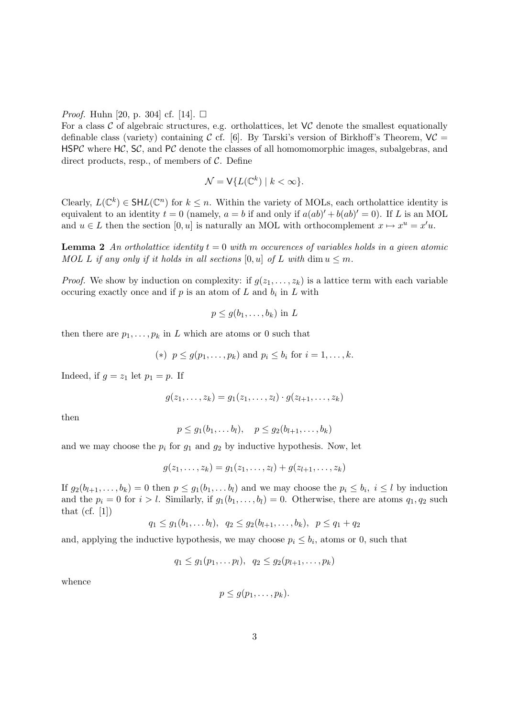*Proof.* Huhn [20, p. 304] cf. [14].  $\Box$ 

For a class  $\mathcal C$  of algebraic structures, e.g. ortholattices, let  $\mathsf V\mathcal C$  denote the smallest equationally definable class (variety) containing C cf. [6]. By Tarski's version of Birkhoff's Theorem,  $VC =$ HSPC where  $HC$ , SC, and PC denote the classes of all homomomorphic images, subalgebras, and direct products, resp., of members of  $C$ . Define

$$
\mathcal{N} = \mathsf{V}\{L(\mathbb{C}^k) \mid k < \infty\}.
$$

Clearly,  $L(\mathbb{C}^k) \in \mathsf{SHL}(\mathbb{C}^n)$  for  $k \leq n$ . Within the variety of MOLs, each ortholattice identity is equivalent to an identity  $t = 0$  (namely,  $a = b$  if and only if  $a(ab)' + b(ab)' = 0$ ). If L is an MOL and  $u \in L$  then the section  $[0, u]$  is naturally an MOL with orthocomplement  $x \mapsto x^u = x'u$ .

**Lemma 2** An ortholattice identity  $t = 0$  with m occurences of variables holds in a given atomic MOL L if any only if it holds in all sections  $[0, u]$  of L with dim  $u \leq m$ .

*Proof.* We show by induction on complexity: if  $g(z_1, \ldots, z_k)$  is a lattice term with each variable occuring exactly once and if  $p$  is an atom of  $L$  and  $b_i$  in  $L$  with

$$
p \le g(b_1, \ldots, b_k) \text{ in } L
$$

then there are  $p_1, \ldots, p_k$  in L which are atoms or 0 such that

(\*)  $p \le g(p_1, ..., p_k)$  and  $p_i \le b_i$  for  $i = 1, ..., k$ .

Indeed, if  $g = z_1$  let  $p_1 = p$ . If

$$
g(z_1, ..., z_k) = g_1(z_1, ..., z_l) \cdot g(z_{l+1}, ..., z_k)
$$

then

$$
p \leq g_1(b_1,\ldots b_l), \quad p \leq g_2(b_{l+1},\ldots,b_k)
$$

and we may choose the  $p_i$  for  $g_1$  and  $g_2$  by inductive hypothesis. Now, let

$$
g(z_1, \ldots, z_k) = g_1(z_1, \ldots, z_l) + g(z_{l+1}, \ldots, z_k)
$$

If  $g_2(b_{l+1},\ldots,b_k) = 0$  then  $p \leq g_1(b_1,\ldots,b_l)$  and we may choose the  $p_i \leq b_i$ ,  $i \leq l$  by induction and the  $p_i = 0$  for  $i > l$ . Similarly, if  $g_1(b_1, \ldots, b_l) = 0$ . Otherwise, there are atoms  $q_1, q_2$  such that  $(cf. [1])$ 

$$
q_1 \leq g_1(b_1,\ldots b_l), q_2 \leq g_2(b_{l+1},\ldots,b_k), p \leq q_1+q_2
$$

and, applying the inductive hypothesis, we may choose  $p_i \leq b_i$ , atoms or 0, such that

$$
q_1 \leq g_1(p_1,\ldots p_l), q_2 \leq g_2(p_{l+1},\ldots,p_k)
$$

whence

$$
p\leq g(p_1,\ldots,p_k).
$$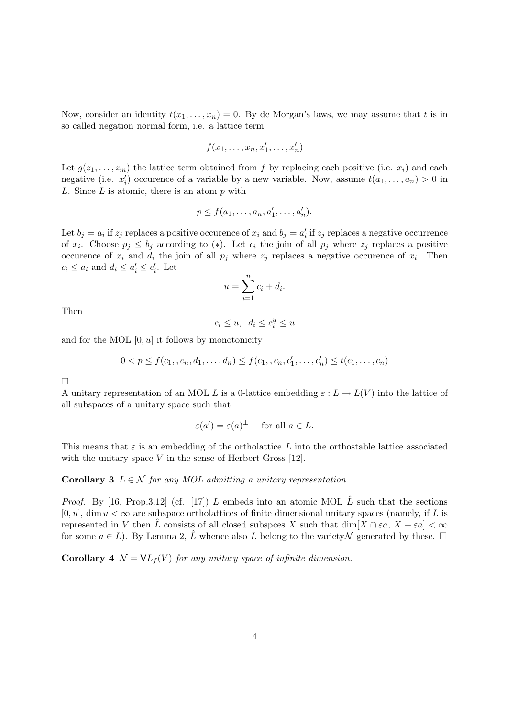Now, consider an identity  $t(x_1,\ldots,x_n) = 0$ . By de Morgan's laws, we may assume that t is in so called negation normal form, i.e. a lattice term

$$
f(x_1,\ldots,x_n,x'_1,\ldots,x'_n)
$$

Let  $g(z_1,\ldots,z_m)$  the lattice term obtained from f by replacing each positive (i.e.  $x_i$ ) and each negative (i.e.  $x'_i$ ) occurence of a variable by a new variable. Now, assume  $t(a_1, \ldots, a_n) > 0$  in L. Since  $L$  is atomic, there is an atom  $p$  with

$$
p \le f(a_1, \ldots, a_n, a'_1, \ldots, a'_n).
$$

Let  $b_j = a_i$  if  $z_j$  replaces a positive occurence of  $x_i$  and  $b_j = a'_i$  if  $z_j$  replaces a negative occurrence of  $x_i$ . Choose  $p_j \leq b_j$  according to (\*). Let  $c_i$  the join of all  $p_j$  where  $z_j$  replaces a positive occurence of  $x_i$  and  $d_i$  the join of all  $p_j$  where  $z_j$  replaces a negative occurence of  $x_i$ . Then  $c_i \leq a_i$  and  $d_i \leq a'_i \leq c'_i$ . Let

$$
u = \sum_{i=1}^{n} c_i + d_i.
$$

Then

$$
c_i \le u, \ d_i \le c_i^u \le u
$$

and for the MOL  $[0, u]$  it follows by monotonicity

$$
0 < p \le f(c_1, c_n, d_1, \dots, d_n) \le f(c_1, c_n, c'_1, \dots, c'_n) \le t(c_1, \dots, c_n)
$$

 $\Box$ 

A unitary representation of an MOL L is a 0-lattice embedding  $\varepsilon : L \to L(V)$  into the lattice of all subspaces of a unitary space such that

$$
\varepsilon(a') = \varepsilon(a)^{\perp}
$$
 for all  $a \in L$ .

This means that  $\varepsilon$  is an embedding of the ortholattice L into the orthostable lattice associated with the unitary space  $V$  in the sense of Herbert Gross [12].

Corollary 3  $L \in \mathcal{N}$  for any MOL admitting a unitary representation.

*Proof.* By [16, Prop.3.12] (cf. [17]) L embeds into an atomic MOL  $\hat{L}$  such that the sections  $[0, u]$ , dim  $u < \infty$  are subspace ortholattices of finite dimensional unitary spaces (namely, if L is represented in V then L consists of all closed subspces X such that  $\dim[X \cap \varepsilon a, X + \varepsilon a] < \infty$ for some  $a \in L$ ). By Lemma 2,  $\hat{L}$  whence also L belong to the variety  $\mathcal N$  generated by these.  $\Box$ 

**Corollary 4**  $\mathcal{N} = \mathsf{V}L_f(V)$  for any unitary space of infinite dimension.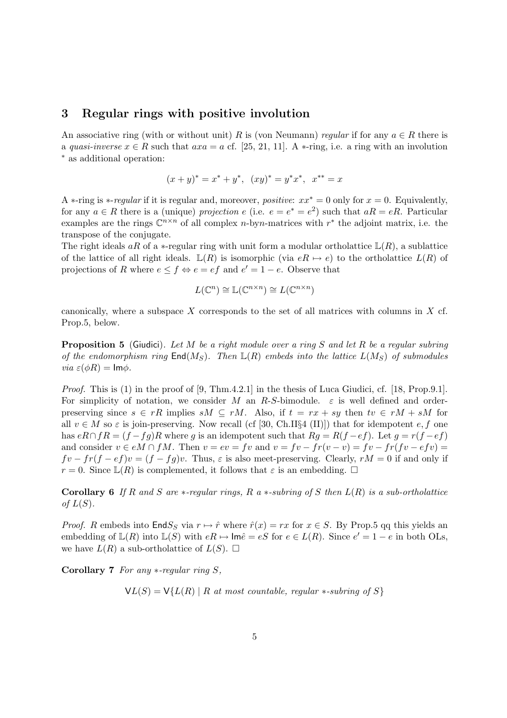#### 3 Regular rings with positive involution

An associative ring (with or without unit) R is (von Neumann) regular if for any  $a \in R$  there is a quasi-inverse  $x \in R$  such that  $axa = a$  cf. [25, 21, 11]. A  $\ast$ -ring, i.e. a ring with an involution <sup>∗</sup> as additional operation:

$$
(x+y)^* = x^* + y^*, \ (xy)^* = y^*x^*, \ x^{**} = x
$$

A  $\ast$ -ring is  $\ast$ -regular if it is regular and, moreover, *positive:*  $xx^* = 0$  only for  $x = 0$ . Equivalently, for any  $a \in R$  there is a (unique) projection e (i.e.  $e = e^* = e^2$ ) such that  $aR = eR$ . Particular examples are the rings  $\mathbb{C}^{n \times n}$  of all complex *n*-byn-matrices with  $r^*$  the adjoint matrix, i.e. the transpose of the conjugate.

The right ideals aR of a  $\ast$ -regular ring with unit form a modular ortholattice  $\mathbb{L}(R)$ , a sublattice of the lattice of all right ideals.  $\mathbb{L}(R)$  is isomorphic (via  $eR \mapsto e$ ) to the ortholattice  $L(R)$  of projections of R where  $e \leq f \Leftrightarrow e = ef$  and  $e' = 1 - e$ . Observe that

$$
L(\mathbb{C}^n) \cong \mathbb{L}(\mathbb{C}^{n \times n}) \cong L(\mathbb{C}^{n \times n})
$$

canonically, where a subspace  $X$  corresponds to the set of all matrices with columns in  $X$  cf. Prop.5, below.

**Proposition 5** (Giudici). Let M be a right module over a ring S and let R be a regular subring of the endomorphism ring  $\text{End}(M_S)$ . Then  $\mathbb{L}(R)$  embeds into the lattice  $L(M_S)$  of submodules *via*  $\varepsilon(\phi R) = \text{Im}\phi$ .

*Proof.* This is (1) in the proof of [9, Thm.4.2.1] in the thesis of Luca Giudici, cf. [18, Prop.9.1]. For simplicity of notation, we consider M an R-S-bimodule.  $\varepsilon$  is well defined and orderpreserving since  $s \in rR$  implies  $sM \subseteq rM$ . Also, if  $t = rx + sy$  then  $tv \in rM + sM$  for all  $v \in M$  so  $\varepsilon$  is join-preserving. Now recall (cf [30, Ch.II§4 (II)]) that for idempotent  $e, f$  one has  $eR \cap fR = (f - fg)R$  where g is an idempotent such that  $Rg = R(f - ef)$ . Let  $g = r(f - ef)$ and consider  $v \in eM \cap fM$ . Then  $v = ev = fv$  and  $v = fv - fr(v - v) = fv - fr(fv - efv)$  $fv - fr(f - ef)v = (f - fg)v$ . Thus,  $\varepsilon$  is also meet-preserving. Clearly,  $rM = 0$  if and only if  $r = 0$ . Since  $\mathbb{L}(R)$  is complemented, it follows that  $\varepsilon$  is an embedding.  $\Box$ 

**Corollary 6** If R and S are  $*$ -regular rings, R a  $*$ -subring of S then  $L(R)$  is a sub-ortholattice of  $L(S)$ .

*Proof.* R embeds into  $\text{End}S_S$  via  $r \mapsto \hat{r}$  where  $\hat{r}(x) = rx$  for  $x \in S$ . By Prop.5 qq this yields an embedding of  $\mathbb{L}(R)$  into  $\mathbb{L}(S)$  with  $eR \mapsto \text{Im}\hat{e} = eS$  for  $e \in L(R)$ . Since  $e' = 1 - e$  in both OLs, we have  $L(R)$  a sub-ortholattice of  $L(S)$ .  $\square$ 

Corollary 7 For any  $*$ -regular ring S,

 $V(L(S) = V{L(R) | R at most countable, regular *-subring of S}$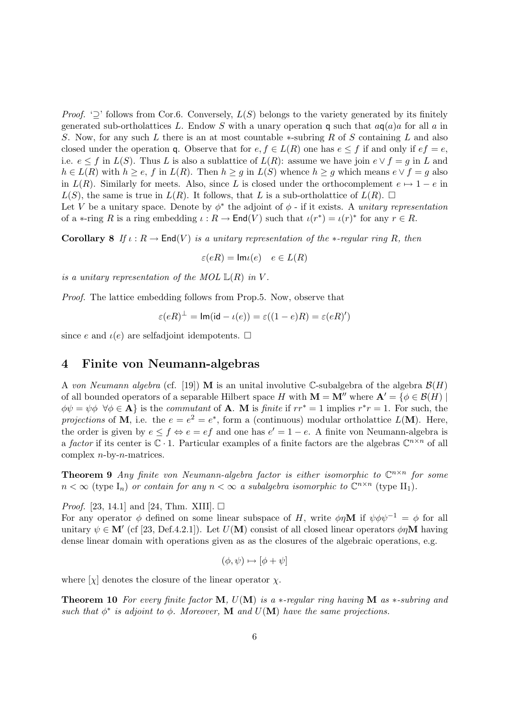*Proof.* ' $\supseteq$ ' follows from Cor.6. Conversely,  $L(S)$  belongs to the variety generated by its finitely generated sub-ortholattices L. Endow S with a unary operation q such that  $aq(a)a$  for all a in S. Now, for any such L there is an at most countable  $\ast$ -subring R of S containing L and also closed under the operation q. Observe that for  $e, f \in L(R)$  one has  $e \leq f$  if and only if  $ef = e$ , i.e.  $e \leq f$  in  $L(S)$ . Thus L is also a sublattice of  $L(R)$ : assume we have join  $e \vee f = g$  in L and  $h \in L(R)$  with  $h \ge e$ , f in  $L(R)$ . Then  $h \ge g$  in  $L(S)$  whence  $h \ge g$  which means  $e \vee f = g$  also in  $L(R)$ . Similarly for meets. Also, since L is closed under the orthocomplement  $e \mapsto 1 - e$  in  $L(S)$ , the same is true in  $L(R)$ . It follows, that L is a sub-ortholattice of  $L(R)$ .  $\square$ 

Let V be a unitary space. Denote by  $\phi^*$  the adjoint of  $\phi$  - if it exists. A unitary representation of a  $\ast$ -ring R is a ring embedding  $\iota: R \to \mathsf{End}(V)$  such that  $\iota(r^*) = \iota(r)^*$  for any  $r \in R$ .

**Corollary 8** If  $\iota : R \to \text{End}(V)$  is a unitary representation of the \*-regular ring R, then

$$
\varepsilon(eR) = \mathsf{Im}\iota(e) \quad e \in L(R)
$$

is a unitary representation of the MOL  $\mathbb{L}(R)$  in V.

Proof. The lattice embedding follows from Prop.5. Now, observe that

$$
\varepsilon(eR)^{\perp} = \text{Im}(\text{id} - \iota(e)) = \varepsilon((1 - e)R) = \varepsilon(eR)'
$$

since e and  $\iota(e)$  are selfadjoint idempotents.  $\Box$ 

#### 4 Finite von Neumann-algebras

A von Neumann algebra (cf. [19]) M is an unital involutive C-subalgebra of the algebra  $\mathcal{B}(H)$ of all bounded operators of a separable Hilbert space H with  $\mathbf{M} = \mathbf{M}''$  where  $\mathbf{A}' = \{ \phi \in \mathcal{B}(H) \mid \phi \in \mathcal{B}(H) \}$  $\phi\psi = \psi\phi \ \forall \phi \in \mathbf{A}$  is the commutant of **A**. M is finite if  $rr^* = 1$  implies  $r^*r = 1$ . For such, the projections of M, i.e. the  $e = e^2 = e^*$ , form a (continuous) modular ortholattice  $L(M)$ . Here, the order is given by  $e \leq f \Leftrightarrow e = ef$  and one has  $e' = 1 - e$ . A finite von Neumann-algebra is a factor if its center is  $\mathbb{C} \cdot 1$ . Particular examples of a finite factors are the algebras  $\mathbb{C}^{n \times n}$  of all complex  $n$ -by- $n$ -matrices.

**Theorem 9** Any finite von Neumann-algebra factor is either isomorphic to  $\mathbb{C}^{n \times n}$  for some  $n < \infty$  (type  $I_n$ ) or contain for any  $n < \infty$  a subalgebra isomorphic to  $\mathbb{C}^{n \times n}$  (type  $II_1$ ).

*Proof.* [23, 14.1] and [24, Thm. XIII].  $\Box$ 

For any operator  $\phi$  defined on some linear subspace of H, write  $\phi \eta \mathbf{M}$  if  $\psi \phi \psi^{-1} = \phi$  for all unitary  $\psi \in M'$  (cf [23, Def.4.2.1]). Let  $U(M)$  consist of all closed linear operators  $\phi \eta M$  having dense linear domain with operations given as as the closures of the algebraic operations, e.g.

$$
(\phi, \psi) \mapsto [\phi + \psi]
$$

where  $[\chi]$  denotes the closure of the linear operator  $\chi$ .

**Theorem 10** For every finite factor M,  $U(M)$  is a  $*$ -regular ring having M as  $*$ -subring and such that  $\phi^*$  is adjoint to  $\phi$ . Moreover, M and  $U(M)$  have the same projections.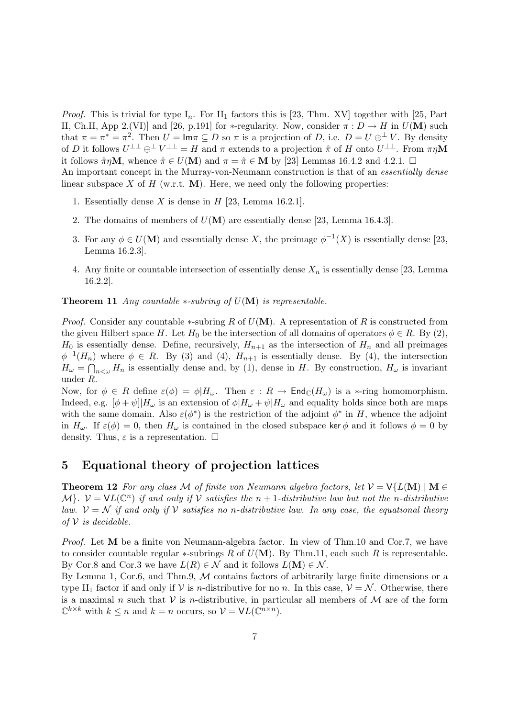*Proof.* This is trivial for type  $I_n$ . For  $II_1$  factors this is [23, Thm. XV] together with [25, Part II, Ch.II, App 2.(VI)] and [26, p.191] for \*-regularity. Now, consider  $\pi : D \to H$  in  $U(M)$  such that  $\pi = \pi^* = \pi^2$ . Then  $U = \mathsf{Im}\pi \subseteq D$  so  $\pi$  is a projection of D, i.e.  $D = U \oplus^{\perp} V$ . By density of D it follows  $U^{\perp\perp} \oplus^{\perp} V^{\perp\perp} = H$  and  $\pi$  extends to a projection  $\hat{\pi}$  of H onto  $U^{\perp\perp}$ . From  $\pi\eta\mathbf{M}$ it follows  $\hat{\pi}\eta\mathbf{M}$ , whence  $\hat{\pi} \in U(\mathbf{M})$  and  $\pi = \hat{\pi} \in \mathbf{M}$  by [23] Lemmas 16.4.2 and 4.2.1.  $\Box$ An important concept in the Murray-von-Neumann construction is that of an *essentially dense* linear subspace X of H (w.r.t.  $\mathbf{M}$ ). Here, we need only the following properties:

- 1. Essentially dense X is dense in  $H$  [23, Lemma 16.2.1].
- 2. The domains of members of  $U(M)$  are essentially dense [23, Lemma 16.4.3].
- 3. For any  $\phi \in U(\mathbf{M})$  and essentially dense X, the preimage  $\phi^{-1}(X)$  is essentially dense [23, Lemma 16.2.3].
- 4. Any finite or countable intersection of essentially dense  $X_n$  is essentially dense [23, Lemma 16.2.2].

**Theorem 11** Any countable  $*$ -subring of  $U(\mathbf{M})$  is representable.

*Proof.* Consider any countable  $*$ -subring R of  $U(M)$ . A representation of R is constructed from the given Hilbert space H. Let  $H_0$  be the intersection of all domains of operators  $\phi \in R$ . By (2),  $H_0$  is essentially dense. Define, recursively,  $H_{n+1}$  as the intersection of  $H_n$  and all preimages  $\phi^{-1}(H_n)$  where  $\phi \in R$ . By (3) and (4),  $H_{n+1}$  is essentially dense. By (4), the intersection  $H_{\omega} = \bigcap_{n<\omega} H_n$  is essentially dense and, by (1), dense in H. By construction,  $H_{\omega}$  is invariant under R.

Now, for  $\phi \in R$  define  $\varepsilon(\phi) = \phi|H_{\omega}$ . Then  $\varepsilon: R \to \text{End}_{\mathbb{C}}(H_{\omega})$  is a \*-ring homomorphism. Indeed, e.g.  $[\phi + \psi]|H_{\omega}$  is an extension of  $\phi|H_{\omega} + \psi|H_{\omega}$  and equality holds since both are maps with the same domain. Also  $\varepsilon(\phi^*)$  is the restriction of the adjoint  $\phi^*$  in H, whence the adjoint in  $H_{\omega}$ . If  $\varepsilon(\phi) = 0$ , then  $H_{\omega}$  is contained in the closed subspace ker  $\phi$  and it follows  $\phi = 0$  by density. Thus,  $\varepsilon$  is a representation.  $\square$ 

## 5 Equational theory of projection lattices

**Theorem 12** For any class M of finite von Neumann algebra factors, let  $V = V\{L(M) | M \in$  $\mathcal{M}$ .  $\mathcal{V} = \mathsf{VL}(\mathbb{C}^n)$  if and only if V satisfies the  $n+1$ -distributive law but not the n-distributive law.  $\mathcal{V} = \mathcal{N}$  if and only if  $\mathcal{V}$  satisfies no n-distributive law. In any case, the equational theory of  $V$  is decidable.

Proof. Let M be a finite von Neumann-algebra factor. In view of Thm.10 and Cor.7, we have to consider countable regular  $\ast$ -subrings R of  $U(M)$ . By Thm.11, each such R is representable. By Cor.8 and Cor.3 we have  $L(R) \in \mathcal{N}$  and it follows  $L(\mathbf{M}) \in \mathcal{N}$ .

By Lemma 1, Cor.6, and Thm.9,  $M$  contains factors of arbitrarily large finite dimensions or a type II<sub>1</sub> factor if and only if V is *n*-distributive for no *n*. In this case,  $V = N$ . Otherwise, there is a maximal n such that V is n-distributive, in particular all members of  $\mathcal M$  are of the form  $\mathbb{C}^{k\times k}$  with  $k \leq n$  and  $k = n$  occurs, so  $\mathcal{V} = \mathsf{V}L(\mathbb{C}^{n\times n})$ .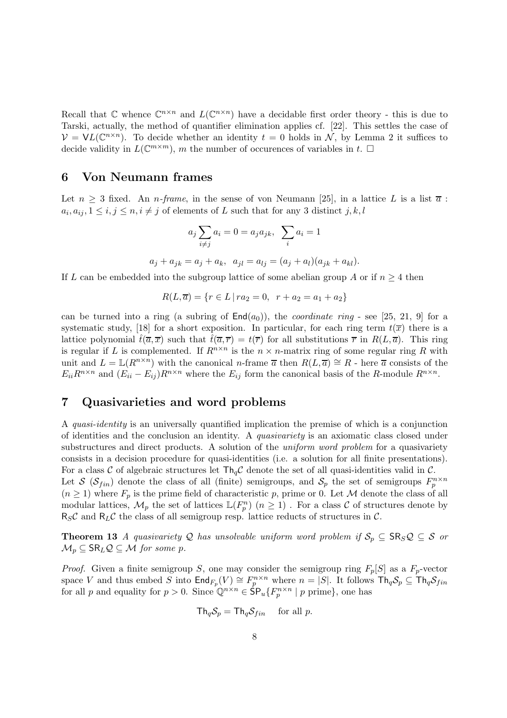Recall that  $\mathbb C$  whence  $\mathbb C^{n \times n}$  and  $L(\mathbb C^{n \times n})$  have a decidable first order theory - this is due to Tarski, actually, the method of quantifier elimination applies cf. [22]. This settles the case of  $V = \mathsf{VL}(\mathbb{C}^{n \times n})$ . To decide whether an identity  $t = 0$  holds in N, by Lemma 2 it suffices to decide validity in  $L(\mathbb{C}^{m \times m})$ , m the number of occurences of variables in t.  $\square$ 

### 6 Von Neumann frames

Let  $n \geq 3$  fixed. An *n-frame*, in the sense of von Neumann [25], in a lattice L is a list  $\overline{a}$ :  $a_i, a_{ij}, 1 \leq i, j \leq n, i \neq j$  of elements of L such that for any 3 distinct  $j, k, l$ 

$$
a_j \sum_{i \neq j} a_i = 0 = a_j a_{jk}, \sum_i a_i = 1
$$
  

$$
a_j + a_{jk} = a_j + a_k, \quad a_{jl} = a_{lj} = (a_j + a_l)(a_{jk} + a_{kl})
$$

If L can be embedded into the subgroup lattice of some abelian group A or if  $n \geq 4$  then

$$
R(L, \overline{a}) = \{ r \in L \mid ra_2 = 0, r + a_2 = a_1 + a_2 \}
$$

can be turned into a ring (a subring of  $\text{End}(a_0)$ ), the *coordinate ring* - see [25, 21, 9] for a systematic study, [18] for a short exposition. In particular, for each ring term  $t(\overline{x})$  there is a lattice polynomial  $\hat{t}(\overline{a}, \overline{x})$  such that  $\hat{t}(\overline{a}, \overline{r}) = t(\overline{r})$  for all substitutions  $\overline{r}$  in  $R(L, \overline{a})$ . This ring is regular if L is complemented. If  $R^{n \times n}$  is the  $n \times n$ -matrix ring of some regular ring R with unit and  $L = \mathbb{L}(R^{n \times n})$  with the canonical *n*-frame  $\overline{a}$  then  $R(L, \overline{a}) \cong R$  - here  $\overline{a}$  consists of the  $E_{ii}R^{n\times n}$  and  $(E_{ii}-E_{ij})R^{n\times n}$  where the  $E_{ij}$  form the canonical basis of the R-module  $R^{n\times n}$ .

## 7 Quasivarieties and word problems

A quasi-identity is an universally quantified implication the premise of which is a conjunction of identities and the conclusion an identity. A quasivariety is an axiomatic class closed under substructures and direct products. A solution of the *uniform word problem* for a quasivariety consists in a decision procedure for quasi-identities (i.e. a solution for all finite presentations). For a class C of algebraic structures let  $\text{Th}_{q}C$  denote the set of all quasi-identities valid in C. Let S  $(\mathcal{S}_{fin})$  denote the class of all (finite) semigroups, and  $\mathcal{S}_p$  the set of semigroups  $F_p^{n \times n}$  $(n \geq 1)$  where  $F_p$  is the prime field of characteristic p, prime or 0. Let M denote the class of all modular lattices,  $\mathcal{M}_p$  the set of lattices  $\mathbb{L}(F_p^n)$   $(n \geq 1)$ . For a class  $\mathcal C$  of structures denote by  $R_S\mathcal{C}$  and  $R_L\mathcal{C}$  the class of all semigroup resp. lattice reducts of structures in  $\mathcal{C}$ .

**Theorem 13** A quasivariety Q has unsolvable uniform word problem if  $S_p \subseteq \text{SR}_S \mathcal{Q} \subseteq \mathcal{S}$  or  $\mathcal{M}_p \subseteq \mathsf{SR}_L \mathcal{Q} \subseteq \mathcal{M}$  for some p.

*Proof.* Given a finite semigroup S, one may consider the semigroup ring  $F_p[S]$  as a  $F_p$ -vector space V and thus embed S into  $\textsf{End}_{F_p}(V) \cong F_p^{n \times n}$  where  $n = |S|$ . It follows  $\textsf{Th}_q\mathcal{S}_p \subseteq \textsf{Th}_q\mathcal{S}_{fin}$ for all p and equality for  $p > 0$ . Since  $\mathbb{Q}^{n \times n} \in \mathsf{SP}_u\{F_p^{n \times n} \mid p \text{ prime}\},$  one has

$$
\mathsf{Th}_q \mathcal{S}_p = \mathsf{Th}_q \mathcal{S}_{fin} \quad \text{ for all } p.
$$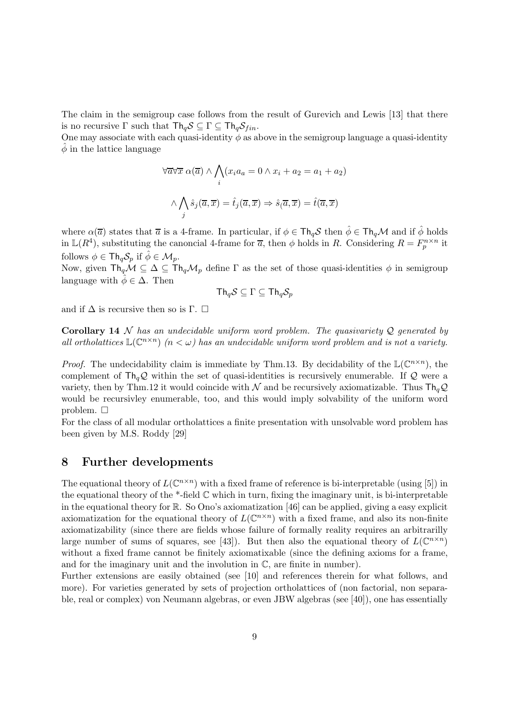The claim in the semigroup case follows from the result of Gurevich and Lewis [13] that there is no recursive  $\Gamma$  such that  $\mathsf{Th}_q\mathcal{S} \subseteq \Gamma \subseteq \mathsf{Th}_q\mathcal{S}_{fin}$ .

One may associate with each quasi-identity  $\phi$  as above in the semigroup language a quasi-identity  $\phi$  in the lattice language

$$
\forall \overline{a} \forall \overline{x} \; \alpha(\overline{a}) \land \bigwedge_{i} (x_i a_a = 0 \land x_i + a_2 = a_1 + a_2)
$$

$$
\land \bigwedge_{j} \hat{s}_j(\overline{a}, \overline{x}) = \hat{t}_j(\overline{a}, \overline{x}) \Rightarrow \hat{s}_j(\overline{a}, \overline{x}) = \hat{t}(\overline{a}, \overline{x})
$$

where  $\alpha(\overline{a})$  states that  $\overline{a}$  is a 4-frame. In particular, if  $\phi \in \text{Th}_qS$  then  $\hat{\phi} \in \text{Th}_q\mathcal{M}$  and if  $\hat{\phi}$  holds in  $\mathbb{L}(R^4)$ , substituting the canoncial 4-frame for  $\overline{a}$ , then  $\phi$  holds in R. Considering  $R = F_p^{n \times n}$  it follows  $\phi \in \text{Th}_{q}S_{n}$  if  $\hat{\phi} \in \mathcal{M}_{n}$ .

Now, given  $\text{Th}_q\mathcal{M} \subseteq \Delta \subseteq \text{Th}_q\mathcal{M}_p$  define  $\Gamma$  as the set of those quasi-identities  $\phi$  in semigroup language with  $\phi \in \Delta$ . Then

$$
\mathsf{Th}_q\mathcal{S} \subseteq \Gamma \subseteq \mathsf{Th}_q\mathcal{S}_p
$$

and if  $\Delta$  is recursive then so is Γ.  $\square$ 

Corollary 14 N has an undecidable uniform word problem. The quasivariety  $Q$  generated by all ortholattices  $\mathbb{L}(\mathbb{C}^{n\times n})$  ( $n < \omega$ ) has an undecidable uniform word problem and is not a variety.

*Proof.* The undecidability claim is immediate by Thm.13. By decidability of the  $\mathbb{L}(\mathbb{C}^{n\times n})$ , the complement of  $\text{Th}_q\mathcal{Q}$  within the set of quasi-identities is recursively enumerable. If  $\mathcal{Q}$  were a variety, then by Thm.12 it would coincide with  $\mathcal N$  and be recursively axiomatizable. Thus  $\mathsf{Th}_q\mathcal{Q}$ would be recursivley enumerable, too, and this would imply solvability of the uniform word problem.  $\Box$ 

For the class of all modular ortholattices a finite presentation with unsolvable word problem has been given by M.S. Roddy [29]

### 8 Further developments

The equational theory of  $L(\mathbb{C}^{n\times n})$  with a fixed frame of reference is bi-interpretable (using [5]) in the equational theory of the \*-field  $\mathbb C$  which in turn, fixing the imaginary unit, is bi-interpretable in the equational theory for R. So Ono's axiomatization [46] can be applied, giving a easy explicit axiomatization for the equational theory of  $L(\mathbb{C}^{n\times n})$  with a fixed frame, and also its non-finite axiomatizability (since there are fields whose failure of formally reality requires an arbitrarilly large number of sums of squares, see [43]). But then also the equational theory of  $L(\mathbb{C}^{n\times n})$ without a fixed frame cannot be finitely axiomatixable (since the defining axioms for a frame, and for the imaginary unit and the involution in  $\mathbb{C}$ , are finite in number).

Further extensions are easily obtained (see [10] and references therein for what follows, and more). For varieties generated by sets of projection ortholattices of (non factorial, non separable, real or complex) von Neumann algebras, or even JBW algebras (see [40]), one has essentially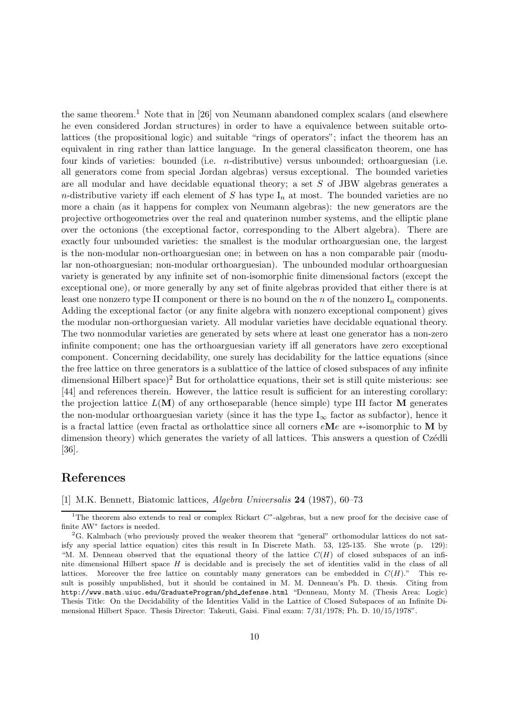the same theorem.<sup>1</sup> Note that in [26] von Neumann abandoned complex scalars (and elsewhere he even considered Jordan structures) in order to have a equivalence between suitable ortolattices (the propositional logic) and suitable "rings of operators"; infact the theorem has an equivalent in ring rather than lattice language. In the general classificaton theorem, one has four kinds of varieties: bounded (i.e. n-distributive) versus unbounded; orthoarguesian (i.e. all generators come from special Jordan algebras) versus exceptional. The bounded varieties are all modular and have decidable equational theory; a set S of JBW algebras generates a n-distributive variety iff each element of S has type  $I_n$  at most. The bounded varieties are no more a chain (as it happens for complex von Neumann algebras): the new generators are the projective orthogeometries over the real and quaterinon number systems, and the elliptic plane over the octonions (the exceptional factor, corresponding to the Albert algebra). There are exactly four unbounded varieties: the smallest is the modular orthoarguesian one, the largest is the non-modular non-orthoarguesian one; in between on has a non comparable pair (modular non-othoarguesian; non-modular orthoarguesian). The unbounded modular orthoarguesian variety is generated by any infinite set of non-isomorphic finite dimensional factors (except the exceptional one), or more generally by any set of finite algebras provided that either there is at least one nonzero type II component or there is no bound on the n of the nonzero  $I_n$  components. Adding the exceptional factor (or any finite algebra with nonzero exceptional component) gives the modular non-orthorguesian variety. All modular varieties have decidable equational theory. The two nonmodular varieties are generated by sets where at least one generator has a non-zero infinite component; one has the orthoarguesian variety iff all generators have zero exceptional component. Concerning decidability, one surely has decidability for the lattice equations (since the free lattice on three generators is a sublattice of the lattice of closed subspaces of any infinite dimensional Hilbert space)<sup>2</sup> But for ortholattice equations, their set is still quite misterious: see [44] and references therein. However, the lattice result is sufficient for an interesting corollary: the projection lattice  $L(\mathbf{M})$  of any orthoseparable (hence simple) type III factor  $\mathbf{M}$  generates the non-modular orthoarguesian variety (since it has the type  $I_{\infty}$  factor as subfactor), hence it is a fractal lattice (even fractal as ortholattice since all corners eMe are ∗-isomorphic to M by dimension theory) which generates the variety of all lattices. This answers a question of Czédli [36].

# References

[1] M.K. Bennett, Biatomic lattices, Algebra Universalis 24 (1987), 60–73

<sup>&</sup>lt;sup>1</sup>The theorem also extends to real or complex Rickart  $C^*$ -algebras, but a new proof for the decisive case of finite AW<sup>∗</sup> factors is needed.

 ${}^{2}G$ . Kalmbach (who previously proved the weaker theorem that "general" orthomodular lattices do not satisfy any special lattice equation) cites this result in In Discrete Math. 53, 125-135. She wrote (p. 129): "M. M. Denneau observed that the equational theory of the lattice  $C(H)$  of closed subspaces of an infinite dimensional Hilbert space  $H$  is decidable and is precisely the set of identities valid in the class of all lattices. Moreover the free lattice on countably many generators can be embedded in  $C(H)$ ." This result is possibly unpublished, but it should be contained in M. M. Denneau's Ph. D. thesis. Citing from http://www.math.uiuc.edu/GraduateProgram/phd defense.html "Denneau, Monty M. (Thesis Area: Logic) Thesis Title: On the Decidability of the Identities Valid in the Lattice of Closed Subspaces of an Infinite Dimensional Hilbert Space. Thesis Director: Takeuti, Gaisi. Final exam: 7/31/1978; Ph. D. 10/15/1978".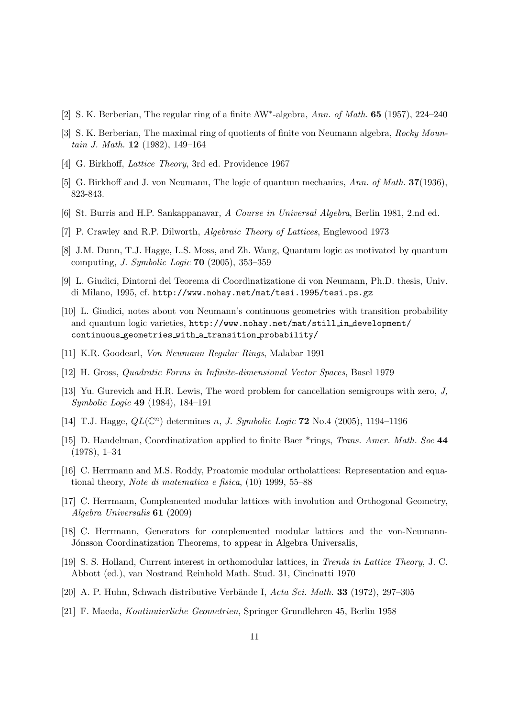- [2] S. K. Berberian, The regular ring of a finite AW<sup>\*</sup>-algebra, Ann. of Math. **65** (1957), 224-240
- [3] S. K. Berberian, The maximal ring of quotients of finite von Neumann algebra, Rocky Mountain J. Math. 12 (1982), 149–164
- [4] G. Birkhoff, *Lattice Theory*, 3rd ed. Providence 1967
- [5] G. Birkhoff and J. von Neumann, The logic of quantum mechanics, Ann. of Math. 37(1936), 823-843.
- [6] St. Burris and H.P. Sankappanavar, A Course in Universal Algebra, Berlin 1981, 2.nd ed.
- [7] P. Crawley and R.P. Dilworth, Algebraic Theory of Lattices, Englewood 1973
- [8] J.M. Dunn, T.J. Hagge, L.S. Moss, and Zh. Wang, Quantum logic as motivated by quantum computing, J. Symbolic Logic 70 (2005), 353–359
- [9] L. Giudici, Dintorni del Teorema di Coordinatizatione di von Neumann, Ph.D. thesis, Univ. di Milano, 1995, cf. http://www.nohay.net/mat/tesi.1995/tesi.ps.gz
- [10] L. Giudici, notes about von Neumann's continuous geometries with transition probability and quantum logic varieties, http://www.nohay.net/mat/still in development/ continuous geometries with a transition probability/
- [11] K.R. Goodearl, Von Neumann Regular Rings, Malabar 1991
- [12] H. Gross, Quadratic Forms in Infinite-dimensional Vector Spaces, Basel 1979
- [13] Yu. Gurevich and H.R. Lewis, The word problem for cancellation semigroups with zero, J, Symbolic Logic 49 (1984), 184–191
- [14] T.J. Hagge,  $QL(\mathbb{C}^n)$  determines n, J. Symbolic Logic 72 No.4 (2005), 1194-1196
- [15] D. Handelman, Coordinatization applied to finite Baer \*rings, Trans. Amer. Math. Soc 44 (1978), 1–34
- [16] C. Herrmann and M.S. Roddy, Proatomic modular ortholattices: Representation and equational theory, Note di matematica e fisica, (10) 1999, 55–88
- [17] C. Herrmann, Complemented modular lattices with involution and Orthogonal Geometry, Algebra Universalis 61 (2009)
- [18] C. Herrmann, Generators for complemented modular lattices and the von-Neumann-Jónsson Coordinatization Theorems, to appear in Algebra Universalis,
- [19] S. S. Holland, Current interest in orthomodular lattices, in Trends in Lattice Theory, J. C. Abbott (ed.), van Nostrand Reinhold Math. Stud. 31, Cincinatti 1970
- [20] A. P. Huhn, Schwach distributive Verbände I,  $Acta Sci. Math.$  33 (1972), 297–305
- [21] F. Maeda, Kontinuierliche Geometrien, Springer Grundlehren 45, Berlin 1958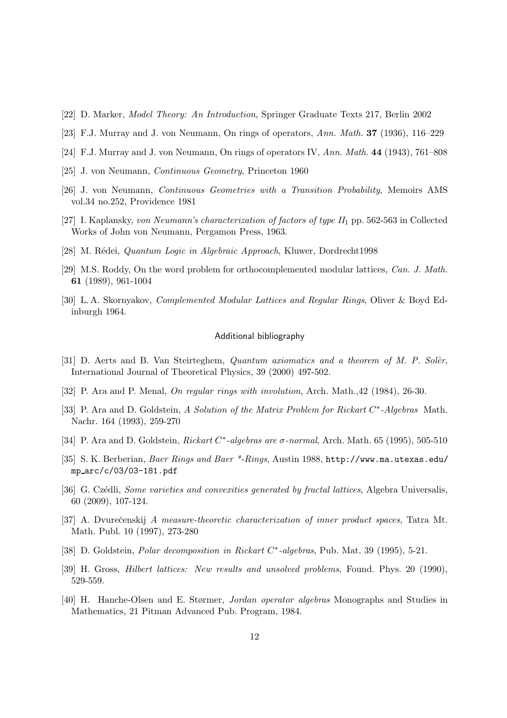- [22] D. Marker, Model Theory: An Introduction, Springer Graduate Texts 217, Berlin 2002
- [23] F.J. Murray and J. von Neumann, On rings of operators, Ann. Math. 37 (1936), 116–229
- [24] F.J. Murray and J. von Neumann, On rings of operators IV, Ann. Math. 44 (1943), 761–808
- [25] J. von Neumann, Continuous Geometry, Princeton 1960
- [26] J. von Neumann, Continuous Geometries with a Transition Probability, Memoirs AMS vol.34 no.252, Providence 1981
- [27] I. Kaplansky, von Neumann's characterization of factors of type  $II_1$  pp. 562-563 in Collected Works of John von Neumann, Pergamon Press, 1963.
- [28] M. Rédei, *Quantum Logic in Algebraic Approach*, Kluwer, Dordrecht1998
- [29] M.S. Roddy, On the word problem for orthocomplemented modular lattices, Can. J. Math. 61 (1989), 961-1004
- [30] L. A. Skornyakov, Complemented Modular Lattices and Regular Rings, Oliver & Boyd Edinburgh 1964.

#### Additional bibliography

- [31] D. Aerts and B. Van Steirteghem, Quantum axiomatics and a theorem of M. P. Solèr, International Journal of Theoretical Physics, 39 (2000) 497-502.
- [32] P. Ara and P. Menal, On regular rings with involution, Arch. Math., 42 (1984), 26-30.
- [33] P. Ara and D. Goldstein, A Solution of the Matrix Problem for Rickart C\*-Algebras Math. Nachr. 164 (1993), 259-270
- [34] P. Ara and D. Goldstein, Rickart C<sup>\*</sup>-algebras are  $\sigma$ -normal, Arch. Math. 65 (1995), 505-510
- [35] S. K. Berberian, Baer Rings and Baer \*-Rings, Austin 1988, http://www.ma.utexas.edu/ mp arc/c/03/03-181.pdf
- [36] G. Czédli, Some varieties and convexities generated by fractal lattices, Algebra Universalis, 60 (2009), 107-124.
- [37] A. Dvurečenskij A measure-theoretic characterization of inner product spaces, Tatra Mt. Math. Publ. 10 (1997), 273-280
- [38] D. Goldstein, Polar decomposition in Rickart C<sup>\*</sup>-algebras, Pub. Mat. 39 (1995), 5-21.
- [39] H. Gross, Hilbert lattices: New results and unsolved problems, Found. Phys. 20 (1990), 529-559.
- [40] H. Hanche-Olsen and E. Størmer, Jordan operator algebras Monographs and Studies in Mathematics, 21 Pitman Advanced Pub. Program, 1984.